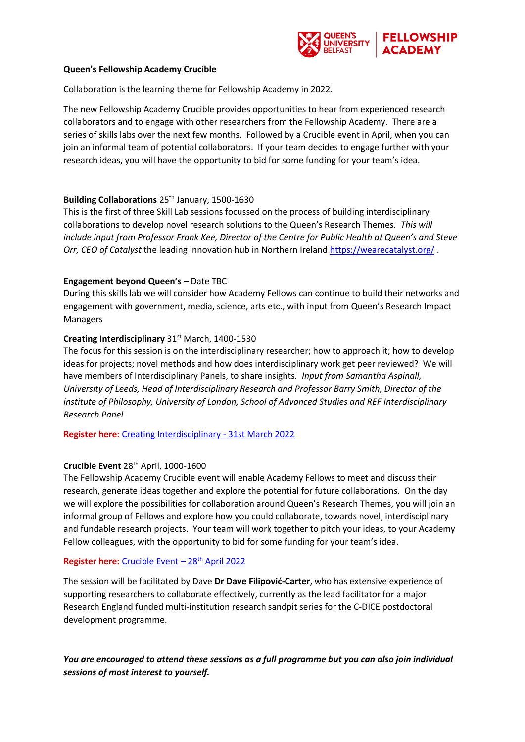

#### **Queen's Fellowship Academy Crucible**

Collaboration is the learning theme for Fellowship Academy in 2022.

The new Fellowship Academy Crucible provides opportunities to hear from experienced research collaborators and to engage with other researchers from the Fellowship Academy. There are a series of skills labs over the next few months. Followed by a Crucible event in April, when you can join an informal team of potential collaborators. If your team decides to engage further with your research ideas, you will have the opportunity to bid for some funding for your team's idea.

## **Building Collaborations** 25th January, 1500-1630

This is the first of three Skill Lab sessions focussed on the process of building interdisciplinary collaborations to develop novel research solutions to the Queen's Research Themes. *This will include input from Professor Frank Kee, Director of the Centre for Public Health at Queen's and Steve Orr, CEO of Catalyst* the leading innovation hub in Northern Ireland<https://wearecatalyst.org/> .

## **Engagement beyond Queen's** – Date TBC

During this skills lab we will consider how Academy Fellows can continue to build their networks and engagement with government, media, science, arts etc., with input from Queen's Research Impact Managers

## **Creating Interdisciplinary** 31<sup>st</sup> March, 1400-1530

The focus for this session is on the interdisciplinary researcher; how to approach it; how to develop ideas for projects; novel methods and how does interdisciplinary work get peer reviewed? We will have members of Interdisciplinary Panels, to share insights*. Input from Samantha Aspinall, University of Leeds, Head of Interdisciplinary Research and Professor Barry Smith, Director of the institute of Philosophy, University of London, School of Advanced Studies and REF Interdisciplinary Research Panel*

**Register here:** [Creating Interdisciplinary -](https://forms.office.com/Pages/ResponsePage.aspx?id=6ner6qW040mh6NbdI6Hyhv08C7fSSZJBkM2G6fSKextURDU1MkVIUE82MzJaV0Q3U0o1S0VZRDVGUSQlQCN0PWcu) 31st March 2022

# **Crucible Event** 28th April, 1000-1600

The Fellowship Academy Crucible event will enable Academy Fellows to meet and discuss their research, generate ideas together and explore the potential for future collaborations. On the day we will explore the possibilities for collaboration around Queen's Research Themes, you will join an informal group of Fellows and explore how you could collaborate, towards novel, interdisciplinary and fundable research projects. Your team will work together to pitch your ideas, to your Academy Fellow colleagues, with the opportunity to bid for some funding for your team's idea.

## **Register here:** [Crucible Event](https://forms.office.com/Pages/ResponsePage.aspx?id=6ner6qW040mh6NbdI6Hyhv08C7fSSZJBkM2G6fSKextUN0JJTDREUllUNFdQTkxXWVQwOUtONTAwTiQlQCN0PWcu) – 28<sup>th</sup> April 2022

The session will be facilitated by Dave **Dr Dave Filipović-Carter**, who has extensive experience of supporting researchers to collaborate effectively, currently as the lead facilitator for a major Research England funded multi-institution research sandpit series for the C-DICE postdoctoral development programme.

*You are encouraged to attend these sessions as a full programme but you can also join individual sessions of most interest to yourself.*